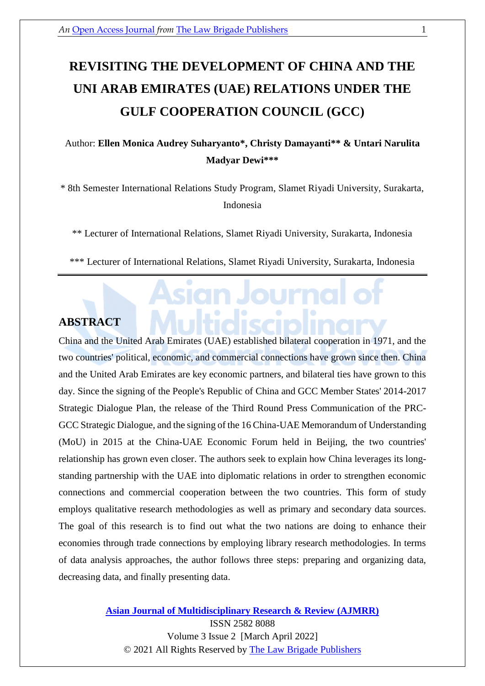# **REVISITING THE DEVELOPMENT OF CHINA AND THE UNI ARAB EMIRATES (UAE) RELATIONS UNDER THE GULF COOPERATION COUNCIL (GCC)**

## Author: **Ellen Monica Audrey Suharyanto\*, Christy Damayanti\*\* & Untari Narulita Madyar Dewi\*\*\***

\* 8th Semester International Relations Study Program, Slamet Riyadi University, Surakarta, Indonesia

\*\* Lecturer of International Relations, Slamet Riyadi University, Surakarta, Indonesia

\*\*\* Lecturer of International Relations, Slamet Riyadi University, Surakarta, Indonesia

## **ABSTRACT**

China and the United Arab Emirates (UAE) established bilateral cooperation in 1971, and the two countries' political, economic, and commercial connections have grown since then. China and the United Arab Emirates are key economic partners, and bilateral ties have grown to this day. Since the signing of the People's Republic of China and GCC Member States' 2014-2017 Strategic Dialogue Plan, the release of the Third Round Press Communication of the PRC-GCC Strategic Dialogue, and the signing of the 16 China-UAE Memorandum of Understanding (MoU) in 2015 at the China-UAE Economic Forum held in Beijing, the two countries' relationship has grown even closer. The authors seek to explain how China leverages its longstanding partnership with the UAE into diplomatic relations in order to strengthen economic connections and commercial cooperation between the two countries. This form of study employs qualitative research methodologies as well as primary and secondary data sources. The goal of this research is to find out what the two nations are doing to enhance their economies through trade connections by employing library research methodologies. In terms of data analysis approaches, the author follows three steps: preparing and organizing data, decreasing data, and finally presenting data.

> **[Asian Journal of Multidisciplinary Research & Review \(AJMRR\)](https://thelawbrigade.com/ajmrr/)** ISSN 2582 8088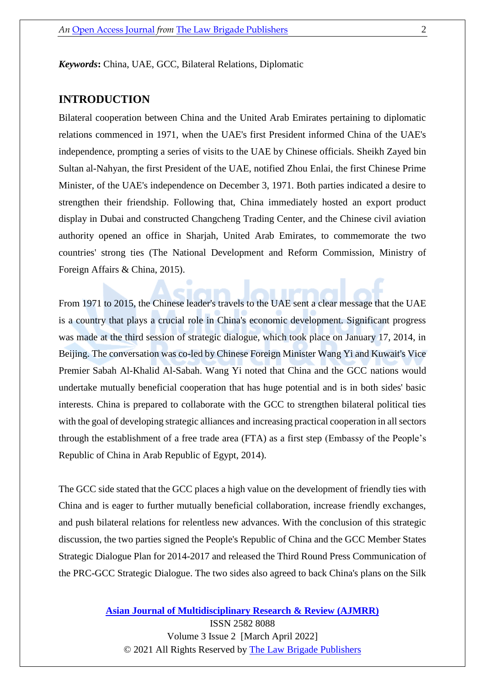*Keywords***:** China, UAE, GCC, Bilateral Relations, Diplomatic

#### **INTRODUCTION**

Bilateral cooperation between China and the United Arab Emirates pertaining to diplomatic relations commenced in 1971, when the UAE's first President informed China of the UAE's independence, prompting a series of visits to the UAE by Chinese officials. Sheikh Zayed bin Sultan al-Nahyan, the first President of the UAE, notified Zhou Enlai, the first Chinese Prime Minister, of the UAE's independence on December 3, 1971. Both parties indicated a desire to strengthen their friendship. Following that, China immediately hosted an export product display in Dubai and constructed Changcheng Trading Center, and the Chinese civil aviation authority opened an office in Sharjah, United Arab Emirates, to commemorate the two countries' strong ties (The National Development and Reform Commission, Ministry of Foreign Affairs & China, 2015).

From 1971 to 2015, the Chinese leader's travels to the UAE sent a clear message that the UAE is a country that plays a crucial role in China's economic development. Significant progress was made at the third session of strategic dialogue, which took place on January 17, 2014, in Beijing. The conversation was co-led by Chinese Foreign Minister Wang Yi and Kuwait's Vice Premier Sabah Al-Khalid Al-Sabah. Wang Yi noted that China and the GCC nations would undertake mutually beneficial cooperation that has huge potential and is in both sides' basic interests. China is prepared to collaborate with the GCC to strengthen bilateral political ties with the goal of developing strategic alliances and increasing practical cooperation in all sectors through the establishment of a free trade area (FTA) as a first step (Embassy of the People's Republic of China in Arab Republic of Egypt, 2014).

The GCC side stated that the GCC places a high value on the development of friendly ties with China and is eager to further mutually beneficial collaboration, increase friendly exchanges, and push bilateral relations for relentless new advances. With the conclusion of this strategic discussion, the two parties signed the People's Republic of China and the GCC Member States Strategic Dialogue Plan for 2014-2017 and released the Third Round Press Communication of the PRC-GCC Strategic Dialogue. The two sides also agreed to back China's plans on the Silk

**[Asian Journal of Multidisciplinary Research & Review \(AJMRR\)](https://thelawbrigade.com/ajmrr/)**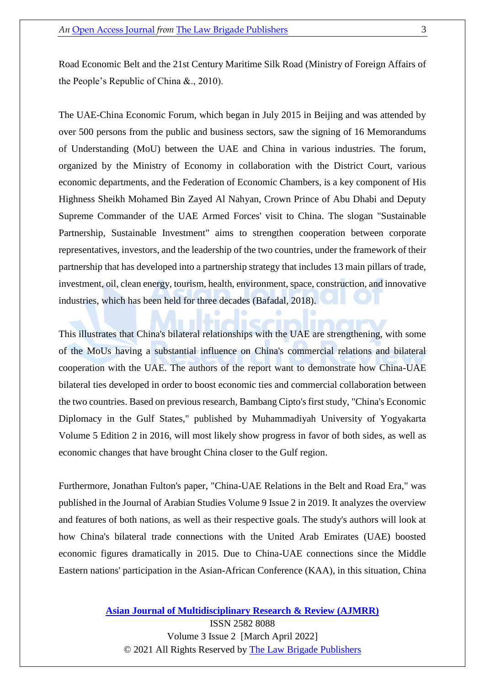Road Economic Belt and the 21st Century Maritime Silk Road (Ministry of Foreign Affairs of the People's Republic of China &., 2010).

The UAE-China Economic Forum, which began in July 2015 in Beijing and was attended by over 500 persons from the public and business sectors, saw the signing of 16 Memorandums of Understanding (MoU) between the UAE and China in various industries. The forum, organized by the Ministry of Economy in collaboration with the District Court, various economic departments, and the Federation of Economic Chambers, is a key component of His Highness Sheikh Mohamed Bin Zayed Al Nahyan, Crown Prince of Abu Dhabi and Deputy Supreme Commander of the UAE Armed Forces' visit to China. The slogan "Sustainable Partnership, Sustainable Investment" aims to strengthen cooperation between corporate representatives, investors, and the leadership of the two countries, under the framework of their partnership that has developed into a partnership strategy that includes 13 main pillars of trade, investment, oil, clean energy, tourism, health, environment, space, construction, and innovative industries, which has been held for three decades (Bafadal, 2018).

This illustrates that China's bilateral relationships with the UAE are strengthening, with some of the MoUs having a substantial influence on China's commercial relations and bilateral cooperation with the UAE. The authors of the report want to demonstrate how China-UAE bilateral ties developed in order to boost economic ties and commercial collaboration between the two countries. Based on previous research, Bambang Cipto's first study, "China's Economic Diplomacy in the Gulf States," published by Muhammadiyah University of Yogyakarta Volume 5 Edition 2 in 2016, will most likely show progress in favor of both sides, as well as economic changes that have brought China closer to the Gulf region.

Furthermore, Jonathan Fulton's paper, "China-UAE Relations in the Belt and Road Era," was published in the Journal of Arabian Studies Volume 9 Issue 2 in 2019. It analyzes the overview and features of both nations, as well as their respective goals. The study's authors will look at how China's bilateral trade connections with the United Arab Emirates (UAE) boosted economic figures dramatically in 2015. Due to China-UAE connections since the Middle Eastern nations' participation in the Asian-African Conference (KAA), in this situation, China

> **[Asian Journal of Multidisciplinary Research & Review \(AJMRR\)](https://thelawbrigade.com/ajmrr/)** ISSN 2582 8088 Volume 3 Issue 2 [March April 2022]

© 2021 All Rights Reserved by [The Law Brigade Publishers](https://thelawbrigade.com/)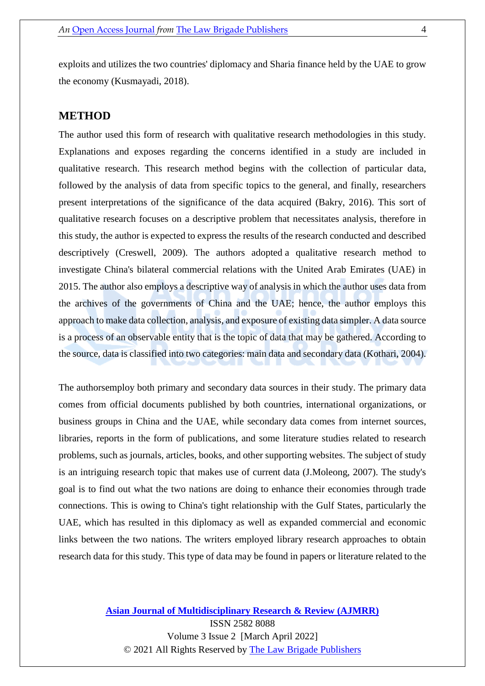exploits and utilizes the two countries' diplomacy and Sharia finance held by the UAE to grow the economy (Kusmayadi, 2018).

#### **METHOD**

The author used this form of research with qualitative research methodologies in this study. Explanations and exposes regarding the concerns identified in a study are included in qualitative research. This research method begins with the collection of particular data, followed by the analysis of data from specific topics to the general, and finally, researchers present interpretations of the significance of the data acquired (Bakry, 2016). This sort of qualitative research focuses on a descriptive problem that necessitates analysis, therefore in this study, the author is expected to express the results of the research conducted and described descriptively (Creswell, 2009). The authors adopted a qualitative research method to investigate China's bilateral commercial relations with the United Arab Emirates (UAE) in 2015. The author also employs a descriptive way of analysis in which the author uses data from the archives of the governments of China and the UAE; hence, the author employs this approach to make data collection, analysis, and exposure of existing data simpler. A data source is a process of an observable entity that is the topic of data that may be gathered. According to the source, data is classified into two categories: main data and secondary data (Kothari, 2004).

The authorsemploy both primary and secondary data sources in their study. The primary data comes from official documents published by both countries, international organizations, or business groups in China and the UAE, while secondary data comes from internet sources, libraries, reports in the form of publications, and some literature studies related to research problems, such as journals, articles, books, and other supporting websites. The subject of study is an intriguing research topic that makes use of current data (J.Moleong, 2007). The study's goal is to find out what the two nations are doing to enhance their economies through trade connections. This is owing to China's tight relationship with the Gulf States, particularly the UAE, which has resulted in this diplomacy as well as expanded commercial and economic links between the two nations. The writers employed library research approaches to obtain research data for this study. This type of data may be found in papers or literature related to the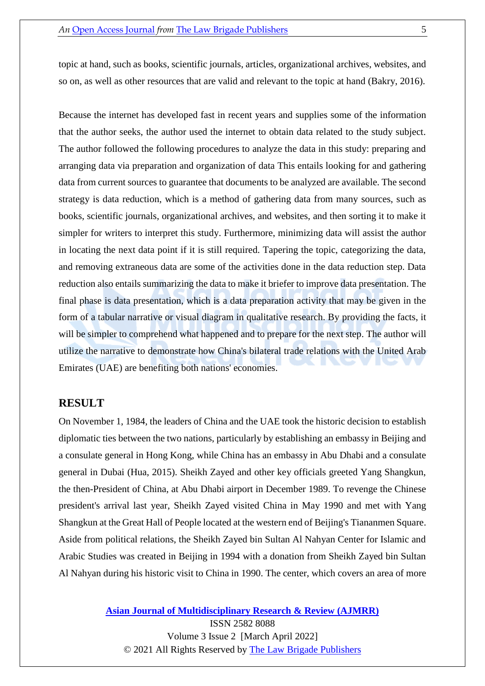topic at hand, such as books, scientific journals, articles, organizational archives, websites, and so on, as well as other resources that are valid and relevant to the topic at hand (Bakry, 2016).

Because the internet has developed fast in recent years and supplies some of the information that the author seeks, the author used the internet to obtain data related to the study subject. The author followed the following procedures to analyze the data in this study: preparing and arranging data via preparation and organization of data This entails looking for and gathering data from current sources to guarantee that documents to be analyzed are available. The second strategy is data reduction, which is a method of gathering data from many sources, such as books, scientific journals, organizational archives, and websites, and then sorting it to make it simpler for writers to interpret this study. Furthermore, minimizing data will assist the author in locating the next data point if it is still required. Tapering the topic, categorizing the data, and removing extraneous data are some of the activities done in the data reduction step. Data reduction also entails summarizing the data to make it briefer to improve data presentation. The final phase is data presentation, which is a data preparation activity that may be given in the form of a tabular narrative or visual diagram in qualitative research. By providing the facts, it will be simpler to comprehend what happened and to prepare for the next step. The author will utilize the narrative to demonstrate how China's bilateral trade relations with the United Arab Emirates (UAE) are benefiting both nations' economies.

#### **RESULT**

On November 1, 1984, the leaders of China and the UAE took the historic decision to establish diplomatic ties between the two nations, particularly by establishing an embassy in Beijing and a consulate general in Hong Kong, while China has an embassy in Abu Dhabi and a consulate general in Dubai (Hua, 2015). Sheikh Zayed and other key officials greeted Yang Shangkun, the then-President of China, at Abu Dhabi airport in December 1989. To revenge the Chinese president's arrival last year, Sheikh Zayed visited China in May 1990 and met with Yang Shangkun at the Great Hall of People located at the western end of Beijing's Tiananmen Square. Aside from political relations, the Sheikh Zayed bin Sultan Al Nahyan Center for Islamic and Arabic Studies was created in Beijing in 1994 with a donation from Sheikh Zayed bin Sultan Al Nahyan during his historic visit to China in 1990. The center, which covers an area of more

**[Asian Journal of Multidisciplinary Research & Review \(AJMRR\)](https://thelawbrigade.com/ajmrr/)**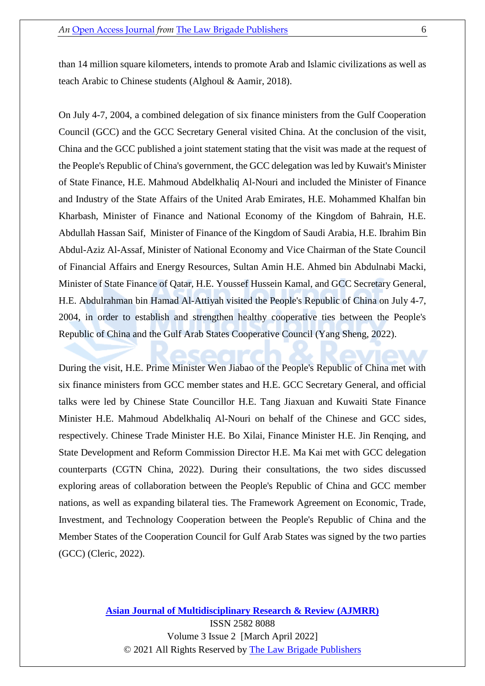than 14 million square kilometers, intends to promote Arab and Islamic civilizations as well as teach Arabic to Chinese students (Alghoul & Aamir, 2018).

On July 4-7, 2004, a combined delegation of six finance ministers from the Gulf Cooperation Council (GCC) and the GCC Secretary General visited China. At the conclusion of the visit, China and the GCC published a joint statement stating that the visit was made at the request of the People's Republic of China's government, the GCC delegation was led by Kuwait's Minister of State Finance, H.E. Mahmoud Abdelkhaliq Al-Nouri and included the Minister of Finance and Industry of the State Affairs of the United Arab Emirates, H.E. Mohammed Khalfan bin Kharbash, Minister of Finance and National Economy of the Kingdom of Bahrain, H.E. Abdullah Hassan Saif, Minister of Finance of the Kingdom of Saudi Arabia, H.E. Ibrahim Bin Abdul-Aziz Al-Assaf, Minister of National Economy and Vice Chairman of the State Council of Financial Affairs and Energy Resources, Sultan Amin H.E. Ahmed bin Abdulnabi Macki, Minister of State Finance of Qatar, H.E. Youssef Hussein Kamal, and GCC Secretary General, H.E. Abdulrahman bin Hamad Al-Attiyah visited the People's Republic of China on July 4-7, 2004, in order to establish and strengthen healthy cooperative ties between the People's Republic of China and the Gulf Arab States Cooperative Council (Yang Sheng, 2022).

During the visit, H.E. Prime Minister Wen Jiabao of the People's Republic of China met with six finance ministers from GCC member states and H.E. GCC Secretary General, and official talks were led by Chinese State Councillor H.E. Tang Jiaxuan and Kuwaiti State Finance Minister H.E. Mahmoud Abdelkhaliq Al-Nouri on behalf of the Chinese and GCC sides, respectively. Chinese Trade Minister H.E. Bo Xilai, Finance Minister H.E. Jin Renqing, and State Development and Reform Commission Director H.E. Ma Kai met with GCC delegation counterparts (CGTN China, 2022). During their consultations, the two sides discussed exploring areas of collaboration between the People's Republic of China and GCC member nations, as well as expanding bilateral ties. The Framework Agreement on Economic, Trade, Investment, and Technology Cooperation between the People's Republic of China and the Member States of the Cooperation Council for Gulf Arab States was signed by the two parties (GCC) (Cleric, 2022).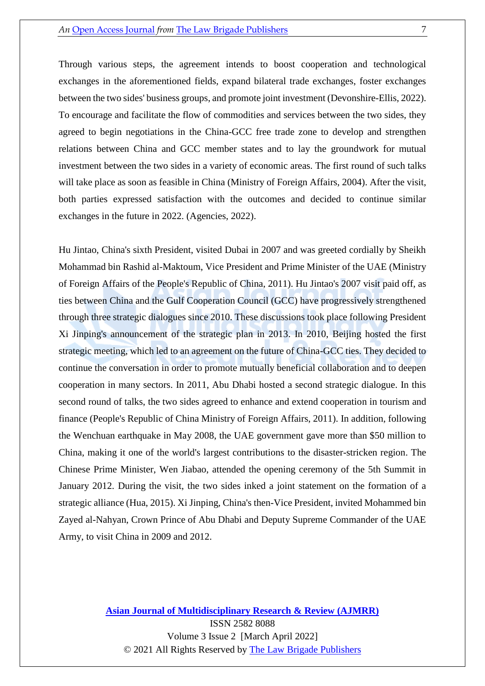Through various steps, the agreement intends to boost cooperation and technological exchanges in the aforementioned fields, expand bilateral trade exchanges, foster exchanges between the two sides' business groups, and promote joint investment (Devonshire-Ellis, 2022). To encourage and facilitate the flow of commodities and services between the two sides, they agreed to begin negotiations in the China-GCC free trade zone to develop and strengthen relations between China and GCC member states and to lay the groundwork for mutual investment between the two sides in a variety of economic areas. The first round of such talks will take place as soon as feasible in China (Ministry of Foreign Affairs, 2004). After the visit, both parties expressed satisfaction with the outcomes and decided to continue similar exchanges in the future in 2022. (Agencies, 2022).

Hu Jintao, China's sixth President, visited Dubai in 2007 and was greeted cordially by Sheikh Mohammad bin Rashid al-Maktoum, Vice President and Prime Minister of the UAE (Ministry of Foreign Affairs of the People's Republic of China, 2011). Hu Jintao's 2007 visit paid off, as ties between China and the Gulf Cooperation Council (GCC) have progressively strengthened through three strategic dialogues since 2010. These discussions took place following President Xi Jinping's announcement of the strategic plan in 2013. In 2010, Beijing hosted the first strategic meeting, which led to an agreement on the future of China-GCC ties. They decided to continue the conversation in order to promote mutually beneficial collaboration and to deepen cooperation in many sectors. In 2011, Abu Dhabi hosted a second strategic dialogue. In this second round of talks, the two sides agreed to enhance and extend cooperation in tourism and finance (People's Republic of China Ministry of Foreign Affairs, 2011). In addition, following the Wenchuan earthquake in May 2008, the UAE government gave more than \$50 million to China, making it one of the world's largest contributions to the disaster-stricken region. The Chinese Prime Minister, Wen Jiabao, attended the opening ceremony of the 5th Summit in January 2012. During the visit, the two sides inked a joint statement on the formation of a strategic alliance (Hua, 2015). Xi Jinping, China's then-Vice President, invited Mohammed bin Zayed al-Nahyan, Crown Prince of Abu Dhabi and Deputy Supreme Commander of the UAE Army, to visit China in 2009 and 2012.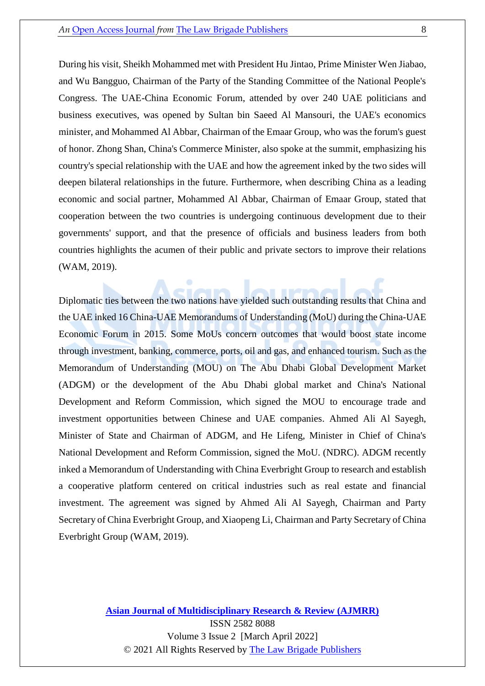During his visit, Sheikh Mohammed met with President Hu Jintao, Prime Minister Wen Jiabao, and Wu Bangguo, Chairman of the Party of the Standing Committee of the National People's Congress. The UAE-China Economic Forum, attended by over 240 UAE politicians and business executives, was opened by Sultan bin Saeed Al Mansouri, the UAE's economics minister, and Mohammed Al Abbar, Chairman of the Emaar Group, who was the forum's guest of honor. Zhong Shan, China's Commerce Minister, also spoke at the summit, emphasizing his country's special relationship with the UAE and how the agreement inked by the two sides will deepen bilateral relationships in the future. Furthermore, when describing China as a leading economic and social partner, Mohammed Al Abbar, Chairman of Emaar Group, stated that cooperation between the two countries is undergoing continuous development due to their governments' support, and that the presence of officials and business leaders from both countries highlights the acumen of their public and private sectors to improve their relations (WAM, 2019).

Diplomatic ties between the two nations have yielded such outstanding results that China and the UAE inked 16 China-UAE Memorandums of Understanding (MoU) during the China-UAE Economic Forum in 2015. Some MoUs concern outcomes that would boost state income through investment, banking, commerce, ports, oil and gas, and enhanced tourism. Such as the Memorandum of Understanding (MOU) on The Abu Dhabi Global Development Market (ADGM) or the development of the Abu Dhabi global market and China's National Development and Reform Commission, which signed the MOU to encourage trade and investment opportunities between Chinese and UAE companies. Ahmed Ali Al Sayegh, Minister of State and Chairman of ADGM, and He Lifeng, Minister in Chief of China's National Development and Reform Commission, signed the MoU. (NDRC). ADGM recently inked a Memorandum of Understanding with China Everbright Group to research and establish a cooperative platform centered on critical industries such as real estate and financial investment. The agreement was signed by Ahmed Ali Al Sayegh, Chairman and Party Secretary of China Everbright Group, and Xiaopeng Li, Chairman and Party Secretary of China Everbright Group (WAM, 2019).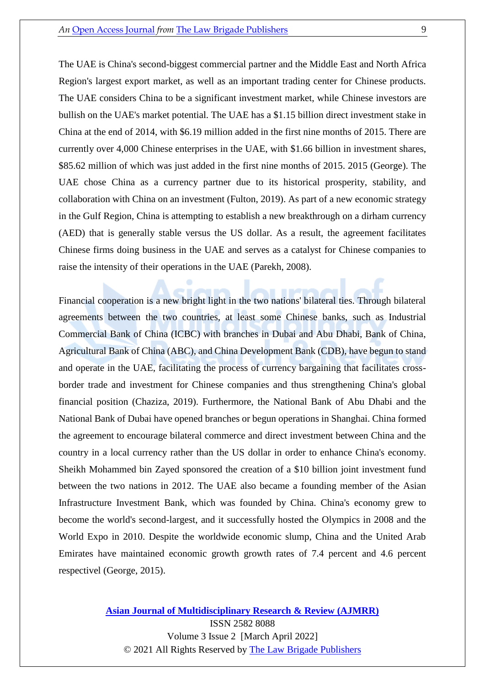The UAE is China's second-biggest commercial partner and the Middle East and North Africa Region's largest export market, as well as an important trading center for Chinese products. The UAE considers China to be a significant investment market, while Chinese investors are bullish on the UAE's market potential. The UAE has a \$1.15 billion direct investment stake in China at the end of 2014, with \$6.19 million added in the first nine months of 2015. There are currently over 4,000 Chinese enterprises in the UAE, with \$1.66 billion in investment shares, \$85.62 million of which was just added in the first nine months of 2015. 2015 (George). The UAE chose China as a currency partner due to its historical prosperity, stability, and collaboration with China on an investment (Fulton, 2019). As part of a new economic strategy in the Gulf Region, China is attempting to establish a new breakthrough on a dirham currency (AED) that is generally stable versus the US dollar. As a result, the agreement facilitates Chinese firms doing business in the UAE and serves as a catalyst for Chinese companies to raise the intensity of their operations in the UAE (Parekh, 2008).

Financial cooperation is a new bright light in the two nations' bilateral ties. Through bilateral agreements between the two countries, at least some Chinese banks, such as Industrial Commercial Bank of China (ICBC) with branches in Dubai and Abu Dhabi, Bank of China, Agricultural Bank of China (ABC), and China Development Bank (CDB), have begun to stand and operate in the UAE, facilitating the process of currency bargaining that facilitates crossborder trade and investment for Chinese companies and thus strengthening China's global financial position (Chaziza, 2019). Furthermore, the National Bank of Abu Dhabi and the National Bank of Dubai have opened branches or begun operations in Shanghai. China formed the agreement to encourage bilateral commerce and direct investment between China and the country in a local currency rather than the US dollar in order to enhance China's economy. Sheikh Mohammed bin Zayed sponsored the creation of a \$10 billion joint investment fund between the two nations in 2012. The UAE also became a founding member of the Asian Infrastructure Investment Bank, which was founded by China. China's economy grew to become the world's second-largest, and it successfully hosted the Olympics in 2008 and the World Expo in 2010. Despite the worldwide economic slump, China and the United Arab Emirates have maintained economic growth growth rates of 7.4 percent and 4.6 percent respectivel (George, 2015).

> **[Asian Journal of Multidisciplinary Research & Review \(AJMRR\)](https://thelawbrigade.com/ajmrr/)** ISSN 2582 8088 Volume 3 Issue 2 [March April 2022]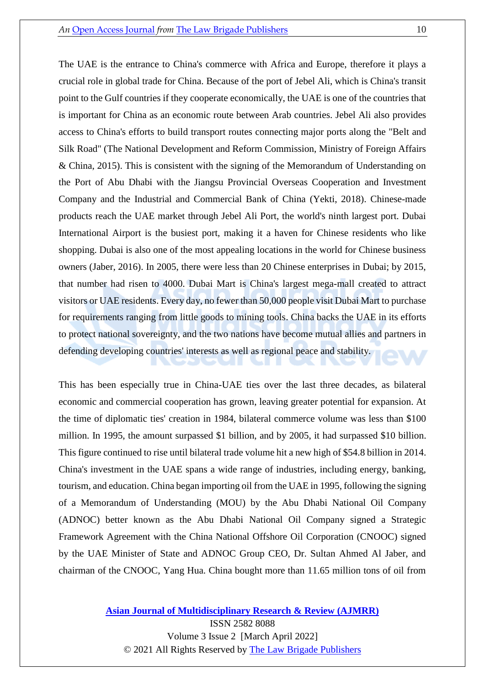The UAE is the entrance to China's commerce with Africa and Europe, therefore it plays a crucial role in global trade for China. Because of the port of Jebel Ali, which is China's transit point to the Gulf countries if they cooperate economically, the UAE is one of the countries that is important for China as an economic route between Arab countries. Jebel Ali also provides access to China's efforts to build transport routes connecting major ports along the "Belt and Silk Road" (The National Development and Reform Commission, Ministry of Foreign Affairs & China, 2015). This is consistent with the signing of the Memorandum of Understanding on the Port of Abu Dhabi with the Jiangsu Provincial Overseas Cooperation and Investment Company and the Industrial and Commercial Bank of China (Yekti, 2018). Chinese-made products reach the UAE market through Jebel Ali Port, the world's ninth largest port. Dubai International Airport is the busiest port, making it a haven for Chinese residents who like shopping. Dubai is also one of the most appealing locations in the world for Chinese business owners (Jaber, 2016). In 2005, there were less than 20 Chinese enterprises in Dubai; by 2015, that number had risen to 4000. Dubai Mart is China's largest mega-mall created to attract visitors or UAE residents. Every day, no fewer than 50,000 people visit Dubai Mart to purchase for requirements ranging from little goods to mining tools. China backs the UAE in its efforts to protect national sovereignty, and the two nations have become mutual allies and partners in defending developing countries' interests as well as regional peace and stability.

This has been especially true in China-UAE ties over the last three decades, as bilateral economic and commercial cooperation has grown, leaving greater potential for expansion. At the time of diplomatic ties' creation in 1984, bilateral commerce volume was less than \$100 million. In 1995, the amount surpassed \$1 billion, and by 2005, it had surpassed \$10 billion. This figure continued to rise until bilateral trade volume hit a new high of \$54.8 billion in 2014. China's investment in the UAE spans a wide range of industries, including energy, banking, tourism, and education. China began importing oil from the UAE in 1995, following the signing of a Memorandum of Understanding (MOU) by the Abu Dhabi National Oil Company (ADNOC) better known as the Abu Dhabi National Oil Company signed a Strategic Framework Agreement with the China National Offshore Oil Corporation (CNOOC) signed by the UAE Minister of State and ADNOC Group CEO, Dr. Sultan Ahmed Al Jaber, and chairman of the CNOOC, Yang Hua. China bought more than 11.65 million tons of oil from

**[Asian Journal of Multidisciplinary Research & Review \(AJMRR\)](https://thelawbrigade.com/ajmrr/)**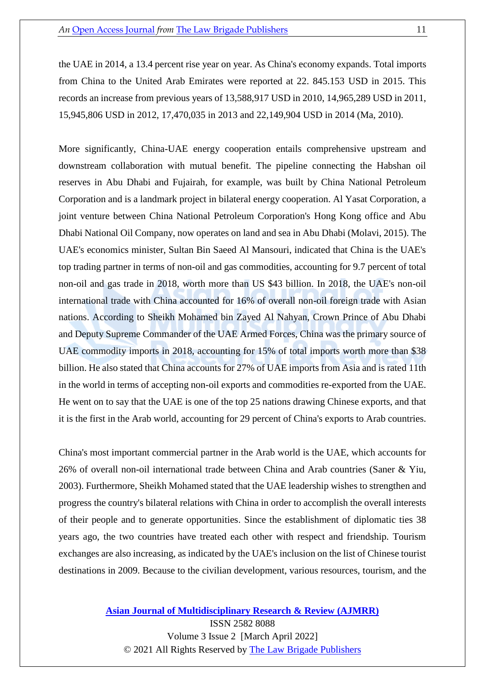the UAE in 2014, a 13.4 percent rise year on year. As China's economy expands. Total imports from China to the United Arab Emirates were reported at 22. 845.153 USD in 2015. This records an increase from previous years of 13,588,917 USD in 2010, 14,965,289 USD in 2011, 15,945,806 USD in 2012, 17,470,035 in 2013 and 22,149,904 USD in 2014 (Ma, 2010).

More significantly, China-UAE energy cooperation entails comprehensive upstream and downstream collaboration with mutual benefit. The pipeline connecting the Habshan oil reserves in Abu Dhabi and Fujairah, for example, was built by China National Petroleum Corporation and is a landmark project in bilateral energy cooperation. Al Yasat Corporation, a joint venture between China National Petroleum Corporation's Hong Kong office and Abu Dhabi National Oil Company, now operates on land and sea in Abu Dhabi (Molavi, 2015). The UAE's economics minister, Sultan Bin Saeed Al Mansouri, indicated that China is the UAE's top trading partner in terms of non-oil and gas commodities, accounting for 9.7 percent of total non-oil and gas trade in 2018, worth more than US \$43 billion. In 2018, the UAE's non-oil international trade with China accounted for 16% of overall non-oil foreign trade with Asian nations. According to Sheikh Mohamed bin Zayed Al Nahyan, Crown Prince of Abu Dhabi and Deputy Supreme Commander of the UAE Armed Forces, China was the primary source of UAE commodity imports in 2018, accounting for 15% of total imports worth more than \$38 billion. He also stated that China accounts for 27% of UAE imports from Asia and is rated 11th in the world in terms of accepting non-oil exports and commodities re-exported from the UAE. He went on to say that the UAE is one of the top 25 nations drawing Chinese exports, and that it is the first in the Arab world, accounting for 29 percent of China's exports to Arab countries.

China's most important commercial partner in the Arab world is the UAE, which accounts for 26% of overall non-oil international trade between China and Arab countries (Saner & Yiu, 2003). Furthermore, Sheikh Mohamed stated that the UAE leadership wishes to strengthen and progress the country's bilateral relations with China in order to accomplish the overall interests of their people and to generate opportunities. Since the establishment of diplomatic ties 38 years ago, the two countries have treated each other with respect and friendship. Tourism exchanges are also increasing, as indicated by the UAE's inclusion on the list of Chinese tourist destinations in 2009. Because to the civilian development, various resources, tourism, and the

> **[Asian Journal of Multidisciplinary Research & Review \(AJMRR\)](https://thelawbrigade.com/ajmrr/)** ISSN 2582 8088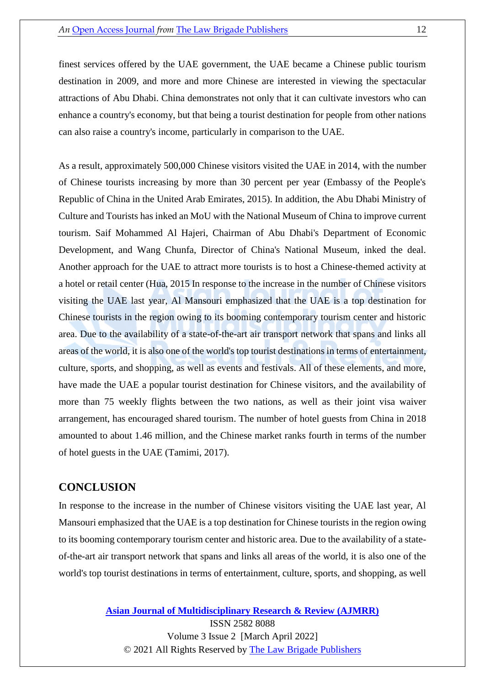finest services offered by the UAE government, the UAE became a Chinese public tourism destination in 2009, and more and more Chinese are interested in viewing the spectacular attractions of Abu Dhabi. China demonstrates not only that it can cultivate investors who can enhance a country's economy, but that being a tourist destination for people from other nations can also raise a country's income, particularly in comparison to the UAE.

As a result, approximately 500,000 Chinese visitors visited the UAE in 2014, with the number of Chinese tourists increasing by more than 30 percent per year (Embassy of the People's Republic of China in the United Arab Emirates, 2015). In addition, the Abu Dhabi Ministry of Culture and Tourists has inked an MoU with the National Museum of China to improve current tourism. Saif Mohammed Al Hajeri, Chairman of Abu Dhabi's Department of Economic Development, and Wang Chunfa, Director of China's National Museum, inked the deal. Another approach for the UAE to attract more tourists is to host a Chinese-themed activity at a hotel or retail center (Hua, 2015 In response to the increase in the number of Chinese visitors visiting the UAE last year, Al Mansouri emphasized that the UAE is a top destination for Chinese tourists in the region owing to its booming contemporary tourism center and historic area. Due to the availability of a state-of-the-art air transport network that spans and links all areas of the world, it is also one of the world's top tourist destinations in terms of entertainment, culture, sports, and shopping, as well as events and festivals. All of these elements, and more, have made the UAE a popular tourist destination for Chinese visitors, and the availability of more than 75 weekly flights between the two nations, as well as their joint visa waiver arrangement, has encouraged shared tourism. The number of hotel guests from China in 2018 amounted to about 1.46 million, and the Chinese market ranks fourth in terms of the number of hotel guests in the UAE (Tamimi, 2017).

#### **CONCLUSION**

In response to the increase in the number of Chinese visitors visiting the UAE last year, Al Mansouri emphasized that the UAE is a top destination for Chinese tourists in the region owing to its booming contemporary tourism center and historic area. Due to the availability of a stateof-the-art air transport network that spans and links all areas of the world, it is also one of the world's top tourist destinations in terms of entertainment, culture, sports, and shopping, as well

**[Asian Journal of Multidisciplinary Research & Review \(AJMRR\)](https://thelawbrigade.com/ajmrr/)**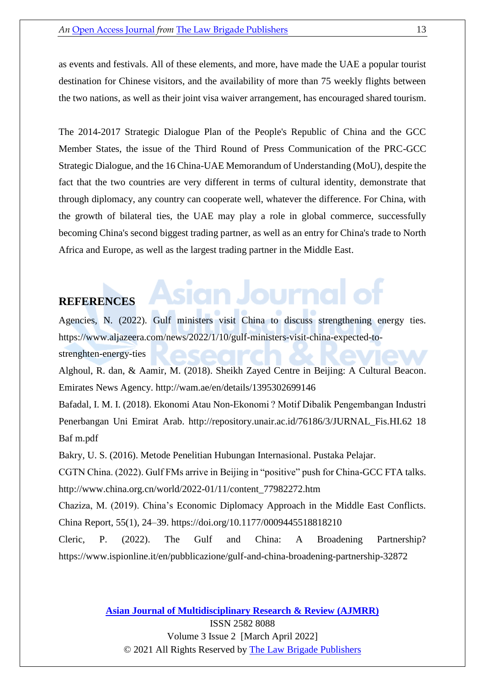as events and festivals. All of these elements, and more, have made the UAE a popular tourist destination for Chinese visitors, and the availability of more than 75 weekly flights between the two nations, as well as their joint visa waiver arrangement, has encouraged shared tourism.

The 2014-2017 Strategic Dialogue Plan of the People's Republic of China and the GCC Member States, the issue of the Third Round of Press Communication of the PRC-GCC Strategic Dialogue, and the 16 China-UAE Memorandum of Understanding (MoU), despite the fact that the two countries are very different in terms of cultural identity, demonstrate that through diplomacy, any country can cooperate well, whatever the difference. For China, with the growth of bilateral ties, the UAE may play a role in global commerce, successfully becoming China's second biggest trading partner, as well as an entry for China's trade to North Africa and Europe, as well as the largest trading partner in the Middle East.

#### **REFERENCES**

Agencies, N. (2022). Gulf ministers visit China to discuss strengthening energy ties. https://www.aljazeera.com/news/2022/1/10/gulf-ministers-visit-china-expected-to-

ın Journal

strenghten-energy-ties

Alghoul, R. dan, & Aamir, M. (2018). Sheikh Zayed Centre in Beijing: A Cultural Beacon. Emirates News Agency. http://wam.ae/en/details/1395302699146

Bafadal, I. M. I. (2018). Ekonomi Atau Non-Ekonomi ? Motif Dibalik Pengembangan Industri Penerbangan Uni Emirat Arab. http://repository.unair.ac.id/76186/3/JURNAL\_Fis.HI.62 18 Baf m.pdf

Bakry, U. S. (2016). Metode Penelitian Hubungan Internasional. Pustaka Pelajar.

CGTN China. (2022). Gulf FMs arrive in Beijing in "positive" push for China-GCC FTA talks. http://www.china.org.cn/world/2022-01/11/content\_77982272.htm

Chaziza, M. (2019). China's Economic Diplomacy Approach in the Middle East Conflicts. China Report, 55(1), 24–39. https://doi.org/10.1177/0009445518818210

Cleric, P. (2022). The Gulf and China: A Broadening Partnership? https://www.ispionline.it/en/pubblicazione/gulf-and-china-broadening-partnership-32872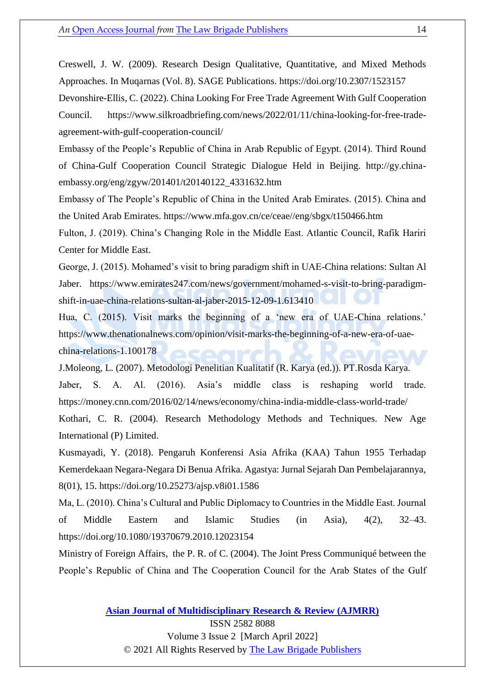Creswell, J. W. (2009). Research Design Qualitative, Quantitative, and Mixed Methods Approaches. In Muqarnas (Vol. 8). SAGE Publications. https://doi.org/10.2307/1523157

Devonshire-Ellis, C. (2022). China Looking For Free Trade Agreement With Gulf Cooperation Council. https://www.silkroadbriefing.com/news/2022/01/11/china-looking-for-free-tradeagreement-with-gulf-cooperation-council/

Embassy of the People's Republic of China in Arab Republic of Egypt. (2014). Third Round of China-Gulf Cooperation Council Strategic Dialogue Held in Beijing. http://gy.chinaembassy.org/eng/zgyw/201401/t20140122\_4331632.htm

Embassy of The People's Republic of China in the United Arab Emirates. (2015). China and the United Arab Emirates. https://www.mfa.gov.cn/ce/ceae//eng/sbgx/t150466.htm

Fulton, J. (2019). China's Changing Role in the Middle East. Atlantic Council, Rafik Hariri Center for Middle East.

George, J. (2015). Mohamed's visit to bring paradigm shift in UAE-China relations: Sultan Al Jaber. https://www.emirates247.com/news/government/mohamed-s-visit-to-bring-paradigmshift-in-uae-china-relations-sultan-al-jaber-2015-12-09-1.613410

Hua, C. (2015). Visit marks the beginning of a 'new era of UAE-China relations.' https://www.thenationalnews.com/opinion/visit-marks-the-beginning-of-a-new-era-of-uaechina-relations-1.100178

J.Moleong, L. (2007). Metodologi Penelitian Kualitatif (R. Karya (ed.)). PT.Rosda Karya. Jaber, S. A. Al. (2016). Asia's middle class is reshaping world trade. https://money.cnn.com/2016/02/14/news/economy/china-india-middle-class-world-trade/ Kothari, C. R. (2004). Research Methodology Methods and Techniques. New Age International (P) Limited.

Kusmayadi, Y. (2018). Pengaruh Konferensi Asia Afrika (KAA) Tahun 1955 Terhadap Kemerdekaan Negara-Negara Di Benua Afrika. Agastya: Jurnal Sejarah Dan Pembelajarannya, 8(01), 15. https://doi.org/10.25273/ajsp.v8i01.1586

Ma, L. (2010). China's Cultural and Public Diplomacy to Countries in the Middle East. Journal of Middle Eastern and Islamic Studies (in Asia), 4(2), 32–43. https://doi.org/10.1080/19370679.2010.12023154

Ministry of Foreign Affairs, the P. R. of C. (2004). The Joint Press Communiqué between the People's Republic of China and The Cooperation Council for the Arab States of the Gulf

© 2021 All Rights Reserved by [The Law Brigade Publishers](https://thelawbrigade.com/)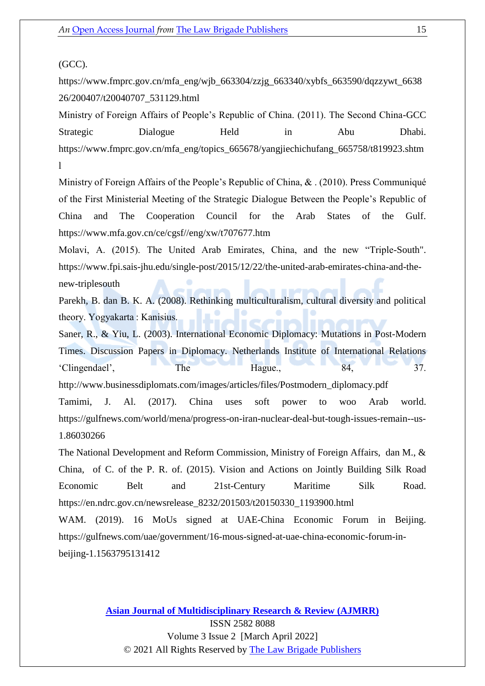#### (GCC).

https://www.fmprc.gov.cn/mfa\_eng/wjb\_663304/zzjg\_663340/xybfs\_663590/dqzzywt\_6638 26/200407/t20040707\_531129.html

Ministry of Foreign Affairs of People's Republic of China. (2011). The Second China-GCC Strategic Dialogue Held in Abu Dhabi. https://www.fmprc.gov.cn/mfa\_eng/topics\_665678/yangjiechichufang\_665758/t819923.shtm l

Ministry of Foreign Affairs of the People's Republic of China, & . (2010). Press Communiqué of the First Ministerial Meeting of the Strategic Dialogue Between the People's Republic of China and The Cooperation Council for the Arab States of the Gulf. https://www.mfa.gov.cn/ce/cgsf//eng/xw/t707677.htm

Molavi, A. (2015). The United Arab Emirates, China, and the new "Triple-South". https://www.fpi.sais-jhu.edu/single-post/2015/12/22/the-united-arab-emirates-china-and-thenew-triplesouth

Parekh, B. dan B. K. A. (2008). Rethinking multiculturalism, cultural diversity and political theory. Yogyakarta : Kanisius.

Saner, R., & Yiu, L. (2003). International Economic Diplomacy: Mutations in Post-Modern Times. Discussion Papers in Diplomacy. Netherlands Institute of International Relations 'Clingendael', The Hague., 84, 37.

http://www.businessdiplomats.com/images/articles/files/Postmodern\_diplomacy.pdf

Tamimi, J. Al. (2017). China uses soft power to woo Arab world. https://gulfnews.com/world/mena/progress-on-iran-nuclear-deal-but-tough-issues-remain--us-1.86030266

The National Development and Reform Commission, Ministry of Foreign Affairs, dan M., & China, of C. of the P. R. of. (2015). Vision and Actions on Jointly Building Silk Road Economic Belt and 21st-Century Maritime Silk Road. https://en.ndrc.gov.cn/newsrelease\_8232/201503/t20150330\_1193900.html

WAM. (2019). 16 MoUs signed at UAE-China Economic Forum in Beijing. https://gulfnews.com/uae/government/16-mous-signed-at-uae-china-economic-forum-inbeijing-1.1563795131412